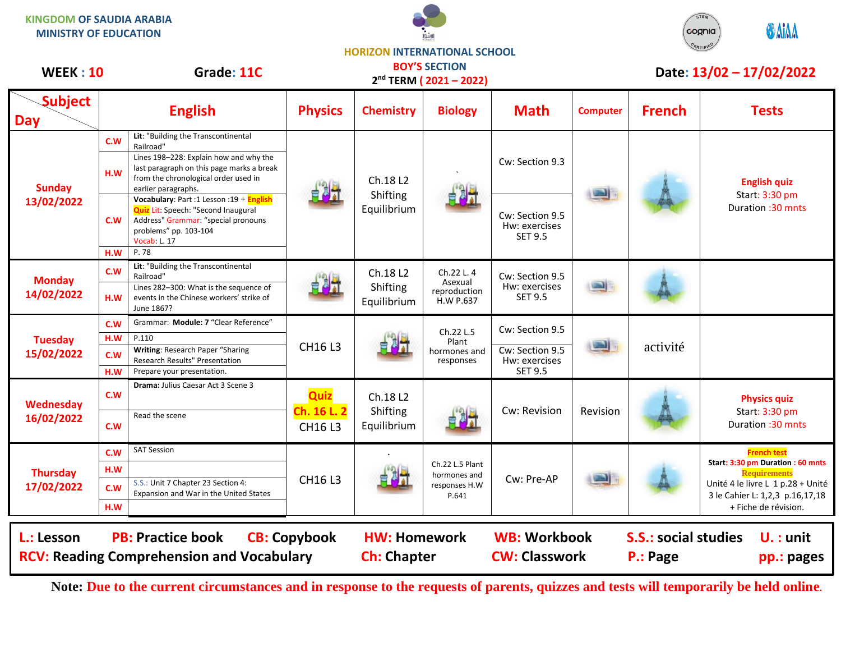**KINGDOM OF SAUDIA ARABIA MINISTRY OF EDUCATION**





**HORIZON INTERNATIONAL SCHOOL**

| <b>WEEK: 10</b>                                                                                                                                                |                          | Grade: 11C                                                                                                                                                                                             |                                      | <b>BOY'S SECTION</b><br>2 <sup>nd</sup> TERM (2021-2022) |                                                           |                                                                       | Date: 13/02 - 17/02/2022 |                                                                      |                                                                                                                                                                                |
|----------------------------------------------------------------------------------------------------------------------------------------------------------------|--------------------------|--------------------------------------------------------------------------------------------------------------------------------------------------------------------------------------------------------|--------------------------------------|----------------------------------------------------------|-----------------------------------------------------------|-----------------------------------------------------------------------|--------------------------|----------------------------------------------------------------------|--------------------------------------------------------------------------------------------------------------------------------------------------------------------------------|
| <b>Subject</b><br><b>Day</b>                                                                                                                                   |                          | <b>English</b>                                                                                                                                                                                         | <b>Physics</b>                       | <b>Chemistry</b>                                         | <b>Biology</b>                                            | <b>Math</b>                                                           | <b>Computer</b>          | <b>French</b>                                                        | <b>Tests</b>                                                                                                                                                                   |
| <b>Sunday</b><br>13/02/2022                                                                                                                                    | C.W<br>H.W               | Lit: "Building the Transcontinental<br>Railroad"<br>Lines 198-228: Explain how and why the<br>last paragraph on this page marks a break<br>from the chronological order used in<br>earlier paragraphs. |                                      | Ch.18 L2<br>Shifting<br>Equilibrium                      | 自制计                                                       | Cw: Section 9.3                                                       |                          |                                                                      | <b>English quiz</b><br>Start: 3:30 pm<br>Duration: 30 mnts                                                                                                                     |
|                                                                                                                                                                | C.W<br>H.W               | Vocabulary: Part :1 Lesson :19 + English<br>Quiz Lit: Speech: "Second Inaugural<br>Address" Grammar: "special pronouns<br>problems" pp. 103-104<br>Vocab: L. 17<br>P.78                                |                                      |                                                          |                                                           | Cw: Section 9.5<br>Hw: exercises<br><b>SET 9.5</b>                    |                          |                                                                      |                                                                                                                                                                                |
| <b>Monday</b><br>14/02/2022                                                                                                                                    | C.W<br>H.W               | Lit: "Building the Transcontinental<br>Railroad"<br>Lines 282-300: What is the sequence of<br>events in the Chinese workers' strike of<br>June 1867?                                                   | 自身式                                  | Ch.18 L2<br>Shifting<br>Equilibrium                      | Ch.22 L.4<br>Asexual<br>reproduction<br>H.W P.637         | Cw: Section 9.5<br>Hw: exercises<br><b>SET 9.5</b>                    |                          |                                                                      |                                                                                                                                                                                |
| <b>Tuesday</b><br>15/02/2022                                                                                                                                   | C.W<br>H.W<br>c.w<br>H.W | Grammar: Module: 7 "Clear Reference"<br>P.110<br>Writing: Research Paper "Sharing<br>Research Results" Presentation<br>Prepare your presentation.                                                      | CH16 L3                              | 自己。                                                      | Ch.22 L.5<br>Plant<br>hormones and<br>responses           | Cw: Section 9.5<br>Cw: Section 9.5<br>Hw: exercises<br><b>SET 9.5</b> | <b>SALE</b>              | activité                                                             |                                                                                                                                                                                |
| <b>Wednesday</b><br>16/02/2022                                                                                                                                 | <b>C.W</b><br>C.W        | Drama: Julius Caesar Act 3 Scene 3<br>Read the scene                                                                                                                                                   | Quiz<br>Ch. 16 L. 2<br><b>CH16L3</b> | Ch.18 L2<br>Shifting<br>Equilibrium                      | 自测量                                                       | Cw: Revision                                                          | Revision                 |                                                                      | <b>Physics quiz</b><br>Start: 3:30 pm<br>Duration: 30 mnts                                                                                                                     |
| <b>Thursday</b><br>17/02/2022                                                                                                                                  | C.W<br>H.W<br>c.w<br>H.W | <b>SAT Session</b><br>S.S.: Unit 7 Chapter 23 Section 4:<br>Expansion and War in the United States                                                                                                     | CH16 L3                              |                                                          | Ch.22 L.5 Plant<br>hormones and<br>responses H.W<br>P.641 | Cw: Pre-AP                                                            |                          |                                                                      | <b>French test</b><br>Start: 3:30 pm Duration : 60 mnts<br><b>Requirements</b><br>Unité 4 le livre L 1 p.28 + Unité<br>3 le Cahier L: 1,2,3 p.16,17,18<br>+ Fiche de révision. |
| <b>PB: Practice book</b><br>L.: Lesson<br><b>CB: Copybook</b><br><b>HW: Homework</b><br><b>RCV: Reading Comprehension and Vocabulary</b><br><b>Ch: Chapter</b> |                          |                                                                                                                                                                                                        |                                      |                                                          |                                                           | <b>WB: Workbook</b><br><b>CW: Classwork</b>                           |                          | <b>S.S.: social studies</b><br>$U.$ : unit<br>P.: Page<br>pp.: pages |                                                                                                                                                                                |

**Note: Due to the current circumstances and in response to the requests of parents, quizzes and tests will temporarily be held online.**